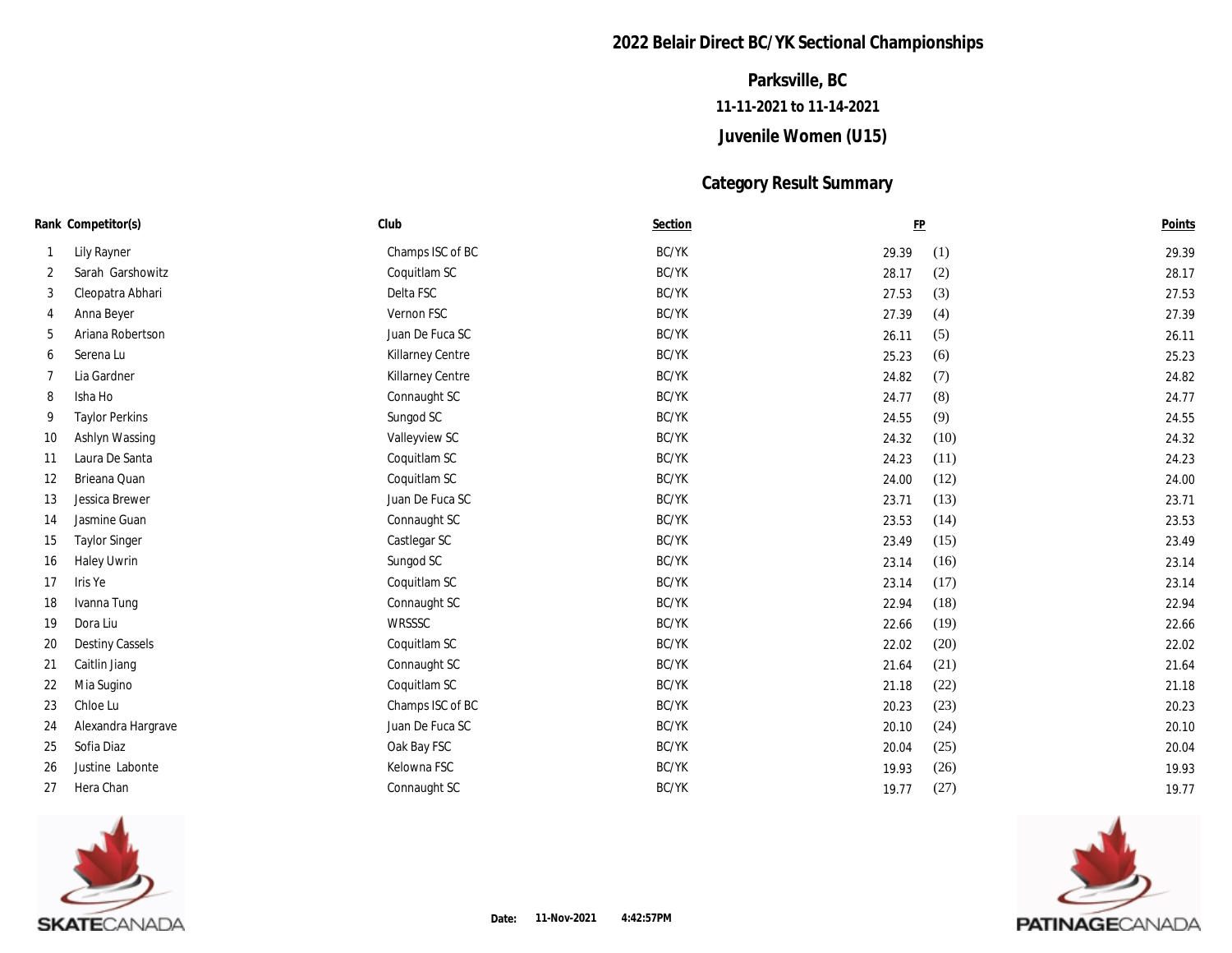## **2022 Belair Direct BC/YK Sectional Championships**

# **Juvenile Women (U15) 11-11-2021 to 11-14-2021 Parksville, BC**

#### **Category Result Summary**

| Rank Competitor(s) |                        | Club                    | Section |       | $\underline{\mathrm{FP}}$ | Points |
|--------------------|------------------------|-------------------------|---------|-------|---------------------------|--------|
|                    | Lily Rayner            | Champs ISC of BC        | BC/YK   | 29.39 | (1)                       | 29.39  |
| 2                  | Sarah Garshowitz       | Coquitlam SC            | BC/YK   | 28.17 | (2)                       | 28.17  |
| 3                  | Cleopatra Abhari       | Delta FSC               | BC/YK   | 27.53 | (3)                       | 27.53  |
| 4                  | Anna Beyer             | Vernon FSC              | BC/YK   | 27.39 | (4)                       | 27.39  |
| 5                  | Ariana Robertson       | Juan De Fuca SC         | BC/YK   | 26.11 | (5)                       | 26.11  |
| 6                  | Serena Lu              | <b>Killarney Centre</b> | BC/YK   | 25.23 | (6)                       | 25.23  |
|                    | Lia Gardner            | <b>Killarney Centre</b> | BC/YK   | 24.82 | (7)                       | 24.82  |
| 8                  | Isha Ho                | Connaught SC            | BC/YK   | 24.77 | (8)                       | 24.77  |
| 9                  | <b>Taylor Perkins</b>  | Sungod SC               | BC/YK   | 24.55 | (9)                       | 24.55  |
| 10                 | Ashlyn Wassing         | Valleyview SC           | BC/YK   | 24.32 | (10)                      | 24.32  |
| 11                 | Laura De Santa         | Coquitlam SC            | BC/YK   | 24.23 | (11)                      | 24.23  |
| 12                 | Brieana Quan           | Coquitlam SC            | BC/YK   | 24.00 | (12)                      | 24.00  |
| 13                 | Jessica Brewer         | Juan De Fuca SC         | BC/YK   | 23.71 | (13)                      | 23.71  |
| 14                 | Jasmine Guan           | Connaught SC            | BC/YK   | 23.53 | (14)                      | 23.53  |
| 15                 | <b>Taylor Singer</b>   | Castlegar SC            | BC/YK   | 23.49 | (15)                      | 23.49  |
| 16                 | <b>Haley Uwrin</b>     | Sungod SC               | BC/YK   | 23.14 | (16)                      | 23.14  |
| 17                 | Iris Ye                | Coquitlam SC            | BC/YK   | 23.14 | (17)                      | 23.14  |
| 18                 | Ivanna Tung            | Connaught SC            | BC/YK   | 22.94 | (18)                      | 22.94  |
| 19                 | Dora Liu               | <b>WRSSSC</b>           | BC/YK   | 22.66 | (19)                      | 22.66  |
| 20                 | <b>Destiny Cassels</b> | Coquitlam SC            | BC/YK   | 22.02 | (20)                      | 22.02  |
| 21                 | Caitlin Jiang          | Connaught SC            | BC/YK   | 21.64 | (21)                      | 21.64  |
| 22                 | Mia Sugino             | Coquitlam SC            | BC/YK   | 21.18 | (22)                      | 21.18  |
| 23                 | Chloe Lu               | Champs ISC of BC        | BC/YK   | 20.23 | (23)                      | 20.23  |
| 24                 | Alexandra Hargrave     | Juan De Fuca SC         | BC/YK   | 20.10 | (24)                      | 20.10  |
| 25                 | Sofia Diaz             | Oak Bay FSC             | BC/YK   | 20.04 | (25)                      | 20.04  |
| 26                 | Justine Labonte        | Kelowna FSC             | BC/YK   | 19.93 | (26)                      | 19.93  |
| 27                 | Hera Chan              | Connaught SC            | BC/YK   | 19.77 | (27)                      | 19.77  |